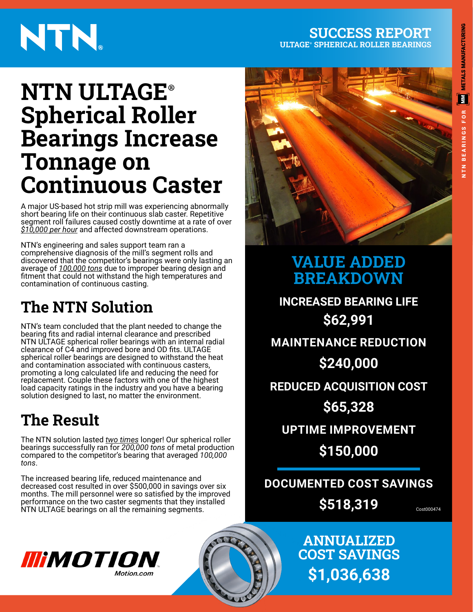# **METALS MANUFACTURING** E **BEARINGS FOR** NTN BEARINGS FOR

# NTN.

#### **SUCCESS REPORT ULTAGE**® **SPHERICAL ROLLER BEARINGS**

## **NTN ULTAGE**® **Spherical Roller Bearings Increase Tonnage on Continuous Caster**

A major US-based hot strip mill was experiencing abnormally short bearing life on their continuous slab caster. Repetitive segment roll failures caused costly downtime at a rate of over *\$10,000 per hour* and affected downstream operations.

NTN's engineering and sales support team ran a comprehensive diagnosis of the mill's segment rolls and discovered that the competitor's bearings were only lasting an average of *100,000 tons* due to improper bearing design and fitment that could not withstand the high temperatures and contamination of continuous casting.

### **The NTN Solution**

NTN's team concluded that the plant needed to change the bearing fits and radial internal clearance and prescribed NTN ULTAGE spherical roller bearings with an internal radial clearance of C4 and improved bore and OD fits. ULTAGE spherical roller bearings are designed to withstand the heat and contamination associated with continuous casters, promoting a long calculated life and reducing the need for replacement. Couple these factors with one of the highest load capacity ratings in the industry and you have a bearing solution designed to last, no matter the environment.

## **The Result**

The NTN solution lasted *two times* longer! Our spherical roller bearings successfully ran for *200,000 tons* of metal production compared to the competitor's bearing that averaged *100,000 tons*.

The increased bearing life, reduced maintenance and decreased cost resulted in over \$500,000 in savings over six months. The mill personnel were so satisfied by the improved performance on the two caster segments that they installed NTN ULTAGE bearings on all the remaining segments.  $\overrightarrow{Q}$   $\overrightarrow{Q}$   $\overrightarrow{Q}$   $\overrightarrow{Q}$   $\overrightarrow{Q}$   $\overrightarrow{Q}$   $\overrightarrow{Q}$   $\overrightarrow{Q}$   $\overrightarrow{Q}$   $\overrightarrow{Q}$   $\overrightarrow{Q}$   $\overrightarrow{Q}$   $\overrightarrow{Q}$   $\overrightarrow{Q}$   $\overrightarrow{Q}$   $\overrightarrow{Q}$   $\overrightarrow{Q}$   $\overrightarrow{Q}$   $\overrightarrow{Q}$ 



### **VALUE ADDED BREAKDOWN**

**INCREASED BEARING LIFE \$62,991 MAINTENANCE REDUCTION \$240,000 REDUCED ACQUISITION COST \$65,328**

**UPTIME IMPROVEMENT**

**\$150,000**

**DOCUMENTED COST SAVINGS \$518,319**

> **ANNUALIZED COST SAVINGS**

> > **\$1,036,638**